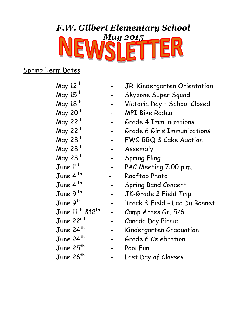# *F.W. Gilbert Elementary School* **NEWSLETTER**

### Spring Term Dates

| May 12 <sup>th</sup>                    | JR. Kindergarten Orientation       |
|-----------------------------------------|------------------------------------|
| May 15 <sup>th</sup>                    | Skyzone Super Squad                |
| May 18 <sup>th</sup>                    | Victoria Day - School Closed       |
| May 20 <sup>th</sup>                    | <b>MPI Bike Rodeo</b>              |
| May 22 <sup>th</sup>                    | <b>Grade 4 Immunizations</b>       |
| May 22 <sup>th</sup>                    | <b>Grade 6 Girls Immunizations</b> |
| May 28 <sup>th</sup>                    | FWG BBQ & Cake Auction             |
| May 28 <sup>th</sup>                    | Assembly                           |
| May 28 <sup>th</sup>                    | <b>Spring Fling</b>                |
| June 1st                                | PAC Meeting 7:00 p.m.              |
| June 4 <sup>th</sup>                    | Rooftop Photo                      |
| June 4 <sup>th</sup>                    | <b>Spring Band Concert</b>         |
| June 9 <sup>th</sup>                    | JK-Grade 2 Field Trip              |
| June 9 <sup>th</sup>                    | Track & Field - Lac Du Bonnet      |
| June 11 <sup>th</sup> &12 <sup>th</sup> | Camp Arnes Gr. 5/6                 |
| June 22 <sup>nd</sup>                   | Canada Day Picnic                  |
| June 24 $^{\sf th}$                     | Kindergarten Graduation            |
| June 24 <sup>th</sup>                   | Grade 6 Celebration                |
| June $25^{th}$                          | Pool Fun                           |
| June $26th$                             | Last Day of Classes                |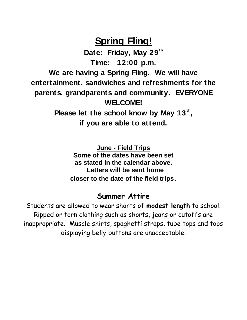## **Spring Fling!**

**Date: Friday, May 29th Time: 12:00 p.m. We are having a Spring Fling. We will have entertainment, sandwiches and refreshments for the parents, grandparents and community. EVERYONE WELCOME!** Please let the school know by May 13<sup>th</sup>, **if you are able to attend.**

> **June - Field Trips Some of the dates have been set as stated in the calendar above. Letters will be sent home closer to the date of the field trips.**

### **Summer Attire**

Students are allowed to wear shorts of **modest length** to school. Ripped or torn clothing such as shorts, jeans or cutoffs are inappropriate. Muscle shirts, spaghetti straps, tube tops and tops displaying belly buttons are unacceptable.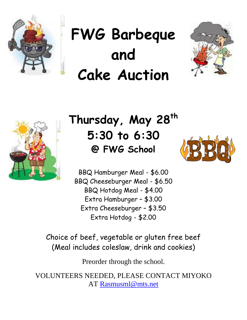

# **FWG Barbeque and Cake Auction**





## **Thursday, May 28th 5:30 to 6:30 @ FWG School**



BBQ Hamburger Meal - \$6.00 BBQ Cheeseburger Meal - \$6.50 BBQ Hotdog Meal - \$4.00 Extra Hamburger – \$3.00 Extra Cheeseburger – \$3.50 Extra Hotdog - \$2.00

Choice of beef, vegetable or gluten free beef (Meal includes coleslaw, drink and cookies)

Preorder through the school.

VOLUNTEERS NEEDED, PLEASE CONTACT MIYOKO AT [Rasmusml@mts.net](mailto:Rasmusml@mts.net)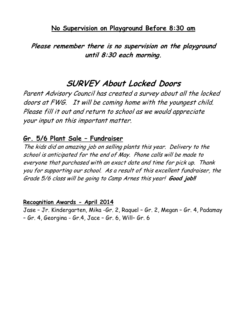### **No Supervision on Playground Before 8:30 am**

**Please remember there is no supervision on the playground until 8:30 each morning.**

### **SURVEY About Locked Doors**

Parent Advisory Council has created a survey about all the locked doors at FWG. It will be coming home with the youngest child. Please fill it out and return to school as we would appreciate your input on this important matter.

### **Gr. 5/6 Plant Sale – Fundraiser**

The kids did an amazing job on selling plants this year. Delivery to the school is anticipated for the end of May. Phone calls will be made to everyone that purchased with an exact date and time for pick up. Thank you for supporting our school. As a result of this excellent fundraiser, the Grade 5/6 class will be going to Camp Arnes this year! **Good job!!**

#### **Recognition Awards - April 2014**

Jase – Jr. Kindergarten, Mika -Gr. 2, Raquel – Gr. 2, Megan – Gr. 4, Padamay – Gr. 4, Georgina - Gr.4, Jace – Gr. 6, Will– Gr. 6